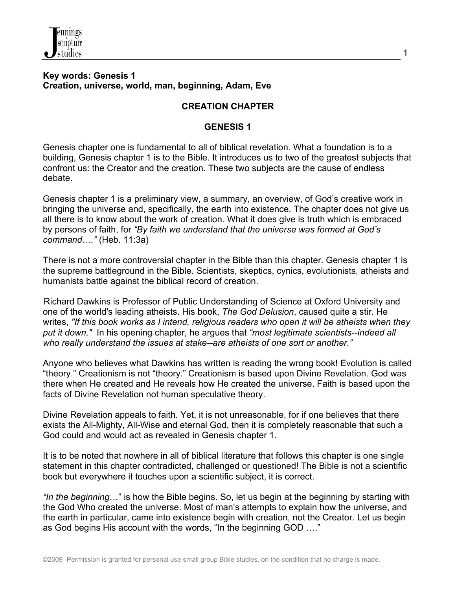

#### **Key words: Genesis 1 Creation, universe, world, man, beginning, Adam, Eve**

## **CREATION CHAPTER**

### **GENESIS 1**

Genesis chapter one is fundamental to all of biblical revelation. What a foundation is to a building, Genesis chapter 1 is to the Bible. It introduces us to two of the greatest subjects that confront us: the Creator and the creation. These two subjects are the cause of endless debate.

Genesis chapter 1 is a preliminary view, a summary, an overview, of God's creative work in bringing the universe and, specifically, the earth into existence. The chapter does not give us all there is to know about the work of creation. What it does give is truth which is embraced by persons of faith, for *"By faith we understand that the universe was formed at God's command…."* (Heb. 11:3a)

There is not a more controversial chapter in the Bible than this chapter. Genesis chapter 1 is the supreme battleground in the Bible. Scientists, skeptics, cynics, evolutionists, atheists and humanists battle against the biblical record of creation.

 Richard Dawkins is Professor of Public Understanding of Science at Oxford University and one of the world's leading atheists. His book, *The God Delusion*, caused quite a stir. He writes, *"If this book works as I intend, religious readers who open it will be atheists when they put it down."* In his opening chapter, he argues that *"most legitimate scientists--indeed all who really understand the issues at stake--are atheists of one sort or another."* 

Anyone who believes what Dawkins has written is reading the wrong book! Evolution is called "theory." Creationism is not "theory." Creationism is based upon Divine Revelation. God was there when He created and He reveals how He created the universe. Faith is based upon the facts of Divine Revelation not human speculative theory.

Divine Revelation appeals to faith. Yet, it is not unreasonable, for if one believes that there exists the All-Mighty, All-Wise and eternal God, then it is completely reasonable that such a God could and would act as revealed in Genesis chapter 1.

It is to be noted that nowhere in all of biblical literature that follows this chapter is one single statement in this chapter contradicted, challenged or questioned! The Bible is not a scientific book but everywhere it touches upon a scientific subject, it is correct.

*"In the beginning*…" is how the Bible begins. So, let us begin at the beginning by starting with the God Who created the universe. Most of man's attempts to explain how the universe, and the earth in particular, came into existence begin with creation, not the Creator. Let us begin as God begins His account with the words, "In the beginning GOD …."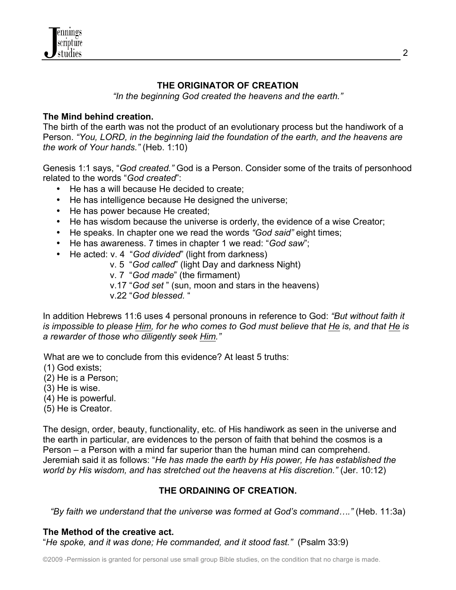

## **THE ORIGINATOR OF CREATION**

*"In the beginning God created the heavens and the earth."*

### **The Mind behind creation.**

The birth of the earth was not the product of an evolutionary process but the handiwork of a Person. *"You, LORD, in the beginning laid the foundation of the earth, and the heavens are the work of Your hands."* (Heb. 1:10)

Genesis 1:1 says, "*God created."* God is a Person. Consider some of the traits of personhood related to the words "*God created*":

- He has a will because He decided to create;
- He has intelligence because He designed the universe;
- He has power because He created;
- He has wisdom because the universe is orderly, the evidence of a wise Creator;
- He speaks. In chapter one we read the words *"God said"* eight times;
- He has awareness. 7 times in chapter 1 we read: "*God saw*";
- He acted: v. 4 "*God divided*" (light from darkness)
	- v. 5 "*God called*" (light Day and darkness Night)
	- v. 7 "*God made*" (the firmament)
	- v.17 "*God set* " (sun, moon and stars in the heavens)
	- v.22 "*God blessed.* "

In addition Hebrews 11:6 uses 4 personal pronouns in reference to God: *"But without faith it is impossible to please Him, for he who comes to God must believe that He is, and that He is a rewarder of those who diligently seek Him."*

What are we to conclude from this evidence? At least 5 truths:

- (1) God exists;
- (2) He is a Person;
- (3) He is wise.
- (4) He is powerful.
- (5) He is Creator.

The design, order, beauty, functionality, etc. of His handiwork as seen in the universe and the earth in particular, are evidences to the person of faith that behind the cosmos is a Person – a Person with a mind far superior than the human mind can comprehend. Jeremiah said it as follows: "*He has made the earth by His power, He has established the world by His wisdom, and has stretched out the heavens at His discretion."* (Jer. 10:12)

## **THE ORDAINING OF CREATION.**

*"By faith we understand that the universe was formed at God's command…."* (Heb. 11:3a)

#### **The Method of the creative act.**

"*He spoke, and it was done; He commanded, and it stood fast."* (Psalm 33:9)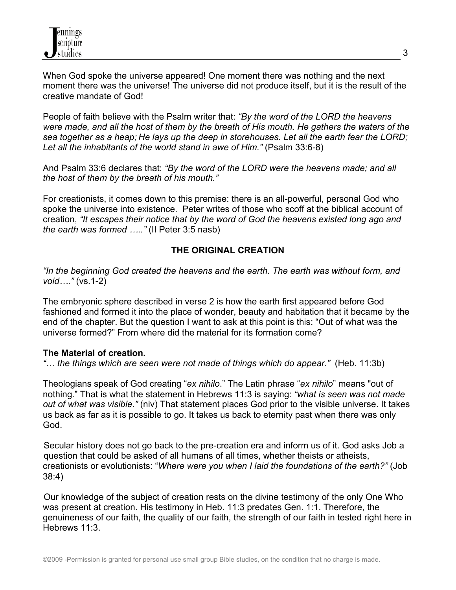When God spoke the universe appeared! One moment there was nothing and the next moment there was the universe! The universe did not produce itself, but it is the result of the creative mandate of God!

People of faith believe with the Psalm writer that: *"By the word of the LORD the heavens were made, and all the host of them by the breath of His mouth. He gathers the waters of the sea together as a heap; He lays up the deep in storehouses. Let all the earth fear the LORD;*  Let all the inhabitants of the world stand in awe of Him." (Psalm 33:6-8)

And Psalm 33:6 declares that: *"By the word of the LORD were the heavens made; and all the host of them by the breath of his mouth."*

For creationists, it comes down to this premise: there is an all-powerful, personal God who spoke the universe into existence. Peter writes of those who scoff at the biblical account of creation, *"It escapes their notice that by the word of God the heavens existed long ago and the earth was formed ….."* (II Peter 3:5 nasb)

# **THE ORIGINAL CREATION**

*"In the beginning God created the heavens and the earth. The earth was without form, and void…."* (vs.1-2)

The embryonic sphere described in verse 2 is how the earth first appeared before God fashioned and formed it into the place of wonder, beauty and habitation that it became by the end of the chapter. But the question I want to ask at this point is this: "Out of what was the universe formed?" From where did the material for its formation come?

## **The Material of creation.**

*"… the things which are seen were not made of things which do appear."* (Heb. 11:3b)

Theologians speak of God creating "*ex nihilo*." The Latin phrase "*ex nihilo*" means "out of nothing." That is what the statement in Hebrews 11:3 is saying: *"what is seen was not made out of what was visible."* (niv) That statement places God prior to the visible universe. It takes us back as far as it is possible to go. It takes us back to eternity past when there was only God.

 Secular history does not go back to the pre-creation era and inform us of it. God asks Job a question that could be asked of all humans of all times, whether theists or atheists, creationists or evolutionists: "*Where were you when I laid the foundations of the earth?"* (Job 38:4)

 Our knowledge of the subject of creation rests on the divine testimony of the only One Who was present at creation. His testimony in Heb. 11:3 predates Gen. 1:1. Therefore, the genuineness of our faith, the quality of our faith, the strength of our faith in tested right here in Hebrews 11:3.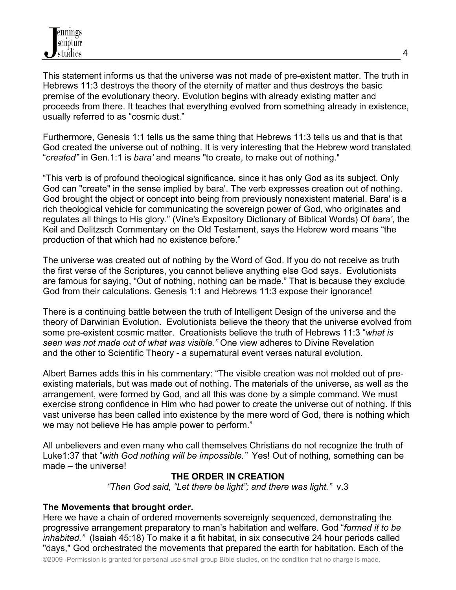This statement informs us that the universe was not made of pre-existent matter. The truth in Hebrews 11:3 destroys the theory of the eternity of matter and thus destroys the basic premise of the evolutionary theory. Evolution begins with already existing matter and proceeds from there. It teaches that everything evolved from something already in existence, usually referred to as "cosmic dust."

Furthermore, Genesis 1:1 tells us the same thing that Hebrews 11:3 tells us and that is that God created the universe out of nothing. It is very interesting that the Hebrew word translated "*created"* in Gen.1:1 is *bara'* and means "to create, to make out of nothing."

"This verb is of profound theological significance, since it has only God as its subject. Only God can "create" in the sense implied by bara'. The verb expresses creation out of nothing. God brought the object or concept into being from previously nonexistent material. Bara' is a rich theological vehicle for communicating the sovereign power of God, who originates and regulates all things to His glory." (Vine's Expository Dictionary of Biblical Words) Of *bara'*, the Keil and Delitzsch Commentary on the Old Testament, says the Hebrew word means "the production of that which had no existence before."

The universe was created out of nothing by the Word of God. If you do not receive as truth the first verse of the Scriptures, you cannot believe anything else God says. Evolutionists are famous for saying, "Out of nothing, nothing can be made." That is because they exclude God from their calculations. Genesis 1:1 and Hebrews 11:3 expose their ignorance!

There is a continuing battle between the truth of Intelligent Design of the universe and the theory of Darwinian Evolution. Evolutionists believe the theory that the universe evolved from some pre-existent cosmic matter. Creationists believe the truth of Hebrews 11:3 "*what is seen was not made out of what was visible."* One view adheres to Divine Revelation and the other to Scientific Theory - a supernatural event verses natural evolution.

Albert Barnes adds this in his commentary: "The visible creation was not molded out of preexisting materials, but was made out of nothing. The materials of the universe, as well as the arrangement, were formed by God, and all this was done by a simple command. We must exercise strong confidence in Him who had power to create the universe out of nothing. If this vast universe has been called into existence by the mere word of God, there is nothing which we may not believe He has ample power to perform."

All unbelievers and even many who call themselves Christians do not recognize the truth of Luke1:37 that "*with God nothing will be impossible."* Yes! Out of nothing, something can be made – the universe!

# **THE ORDER IN CREATION**

*"Then God said, "Let there be light"; and there was light."* v.3

## **The Movements that brought order.**

Here we have a chain of ordered movements sovereignly sequenced, demonstrating the progressive arrangement preparatory to man's habitation and welfare. God "*formed it to be inhabited."* (Isaiah 45:18) To make it a fit habitat, in six consecutive 24 hour periods called "days," God orchestrated the movements that prepared the earth for habitation. Each of the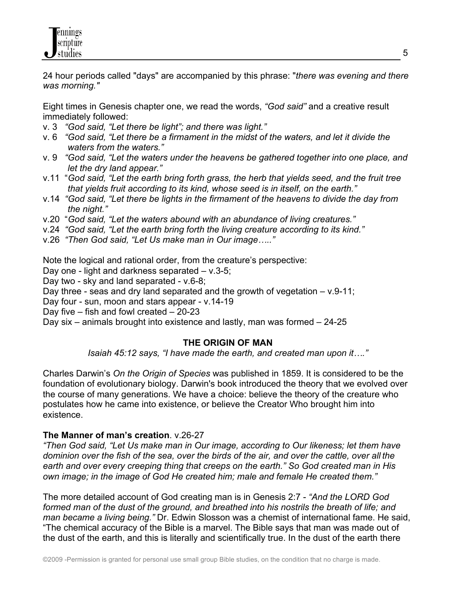

24 hour periods called "days" are accompanied by this phrase: "*there was evening and there was morning."*

Eight times in Genesis chapter one, we read the words, *"God said"* and a creative result immediately followed:

- v. 3 *"God said, "Let there be light"; and there was light."*
- v. 6 *"God said, "Let there be a firmament in the midst of the waters, and let it divide the waters from the waters."*
- v. 9 *"God said, "Let the waters under the heavens be gathered together into one place, and let the dry land appear."*
- v.11"*God said, "Let the earth bring forth grass, the herb that yields seed, and the fruit tree that yields fruit according to its kind, whose seed is in itself, on the earth."*
- v.14 *"God said, "Let there be lights in the firmament of the heavens to divide the day from the night."*
- v.20 "*God said, "Let the waters abound with an abundance of living creatures."*
- v.24 *"God said, "Let the earth bring forth the living creature according to its kind."*
- v.26 *"Then God said, "Let Us make man in Our image….."*

Note the logical and rational order, from the creature's perspective:

Day one - light and darkness separated – v.3-5;

Day two - sky and land separated - v.6-8;

Day three - seas and dry land separated and the growth of vegetation  $- v.9-11$ ;

Day four - sun, moon and stars appear - v.14-19

Day five – fish and fowl created – 20-23

Day six – animals brought into existence and lastly, man was formed – 24-25

### **THE ORIGIN OF MAN**

*Isaiah 45:12 says, "I have made the earth, and created man upon it…."*

Charles Darwin's *On the Origin of Species* was published in 1859. It is considered to be the foundation of evolutionary biology. Darwin's book introduced the theory that we evolved over the course of many generations. We have a choice: believe the theory of the creature who postulates how he came into existence, or believe the Creator Who brought him into existence.

### **The Manner of man's creation**. v.26-27

*"Then God said, "Let Us make man in Our image, according to Our likeness; let them have dominion over the fish of the sea, over the birds of the air, and over the cattle, over all the earth and over every creeping thing that creeps on the earth." So God created man in His own image; in the image of God He created him; male and female He created them."*

The more detailed account of God creating man is in Genesis 2:7 - *"And the LORD God formed man of the dust of the ground, and breathed into his nostrils the breath of life; and man became a living being."* Dr. Edwin Slosson was a chemist of international fame. He said, "The chemical accuracy of the Bible is a marvel. The Bible says that man was made out of the dust of the earth, and this is literally and scientifically true. In the dust of the earth there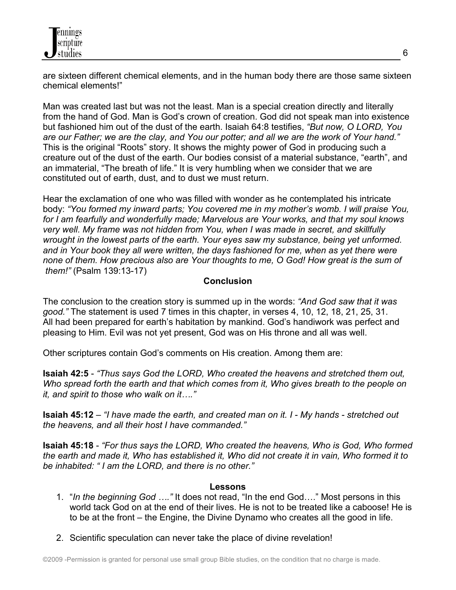are sixteen different chemical elements, and in the human body there are those same sixteen chemical elements!"

Man was created last but was not the least. Man is a special creation directly and literally from the hand of God. Man is God's crown of creation. God did not speak man into existence but fashioned him out of the dust of the earth. Isaiah 64:8 testifies, *"But now, O LORD, You are our Father; we are the clay, and You our potter; and all we are the work of Your hand."*  This is the original "Roots" story. It shows the mighty power of God in producing such a creature out of the dust of the earth. Our bodies consist of a material substance, "earth", and an immaterial, "The breath of life." It is very humbling when we consider that we are constituted out of earth, dust, and to dust we must return.

Hear the exclamation of one who was filled with wonder as he contemplated his intricate body: *"You formed my inward parts; You covered me in my mother's womb. I will praise You, for I am fearfully and wonderfully made; Marvelous are Your works, and that my soul knows very well. My frame was not hidden from You, when I was made in secret, and skillfully wrought in the lowest parts of the earth. Your eyes saw my substance, being yet unformed. and in Your book they all were written, the days fashioned for me, when as yet there were none of them. How precious also are Your thoughts to me, O God! How great is the sum of them!"* (Psalm 139:13-17)

### **Conclusion**

The conclusion to the creation story is summed up in the words: *"And God saw that it was good."* The statement is used 7 times in this chapter, in verses 4, 10, 12, 18, 21, 25, 31. All had been prepared for earth's habitation by mankind. God's handiwork was perfect and pleasing to Him. Evil was not yet present, God was on His throne and all was well.

Other scriptures contain God's comments on His creation. Among them are:

**Isaiah 42:5** - *"Thus says God the LORD, Who created the heavens and stretched them out, Who spread forth the earth and that which comes from it, Who gives breath to the people on it, and spirit to those who walk on it…."*

**Isaiah 45:12** – *"I have made the earth, and created man on it. I - My hands - stretched out the heavens, and all their host I have commanded."* 

**Isaiah 45:18** - *"For thus says the LORD, Who created the heavens, Who is God, Who formed the earth and made it, Who has established it, Who did not create it in vain, Who formed it to be inhabited: " I am the LORD, and there is no other."*

### **Lessons**

- 1. "*In the beginning God …."* It does not read, "In the end God…." Most persons in this world tack God on at the end of their lives. He is not to be treated like a caboose! He is to be at the front – the Engine, the Divine Dynamo who creates all the good in life.
- 2. Scientific speculation can never take the place of divine revelation!